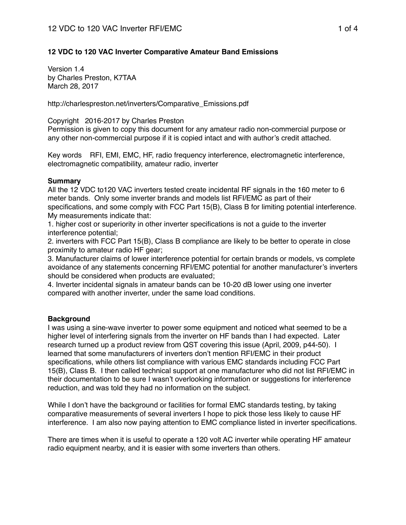# **12 VDC to 120 VAC Inverter Comparative Amateur Band Emissions**

Version 1.4 by Charles Preston, K7TAA March 28, 2017

http://charlespreston.net/inverters/Comparative\_Emissions.pdf

### Copyright 2016-2017 by Charles Preston

Permission is given to copy this document for any amateur radio non-commercial purpose or any other non-commercial purpose if it is copied intact and with author's credit attached.

Key words RFI, EMI, EMC, HF, radio frequency interference, electromagnetic interference, electromagnetic compatibility, amateur radio, inverter

### **Summary**

All the 12 VDC to120 VAC inverters tested create incidental RF signals in the 160 meter to 6 meter bands. Only some inverter brands and models list RFI/EMC as part of their specifications, and some comply with FCC Part 15(B), Class B for limiting potential interference. My measurements indicate that:

1. higher cost or superiority in other inverter specifications is not a guide to the inverter interference potential;

2. inverters with FCC Part 15(B), Class B compliance are likely to be better to operate in close proximity to amateur radio HF gear;

3. Manufacturer claims of lower interference potential for certain brands or models, vs complete avoidance of any statements concerning RFI/EMC potential for another manufacturer's inverters should be considered when products are evaluated;

4. Inverter incidental signals in amateur bands can be 10-20 dB lower using one inverter compared with another inverter, under the same load conditions.

# **Background**

I was using a sine-wave inverter to power some equipment and noticed what seemed to be a higher level of interfering signals from the inverter on HF bands than I had expected. Later research turned up a product review from QST covering this issue (April, 2009, p44-50). I learned that some manufacturers of inverters don't mention RFI/EMC in their product specifications, while others list compliance with various EMC standards including FCC Part 15(B), Class B. I then called technical support at one manufacturer who did not list RFI/EMC in their documentation to be sure I wasn't overlooking information or suggestions for interference reduction, and was told they had no information on the subject.

While I don't have the background or facilities for formal EMC standards testing, by taking comparative measurements of several inverters I hope to pick those less likely to cause HF interference. I am also now paying attention to EMC compliance listed in inverter specifications.

There are times when it is useful to operate a 120 volt AC inverter while operating HF amateur radio equipment nearby, and it is easier with some inverters than others.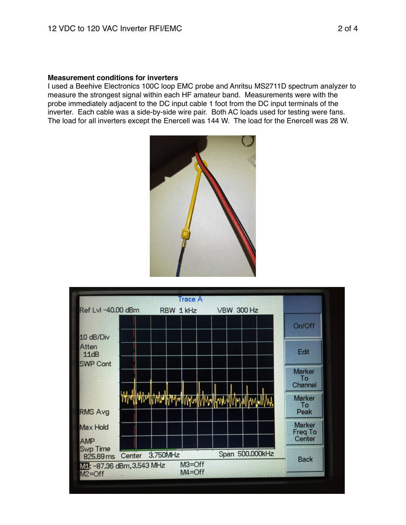#### **Measurement conditions for inverters**

I used a Beehive Electronics 100C loop EMC probe and Anritsu MS2711D spectrum analyzer to measure the strongest signal within each HF amateur band. Measurements were with the probe immediately adjacent to the DC input cable 1 foot from the DC input terminals of the inverter. Each cable was a side-by-side wire pair. Both AC loads used for testing were fans. The load for all inverters except the Enercell was 144 W. The load for the Enercell was 28 W.



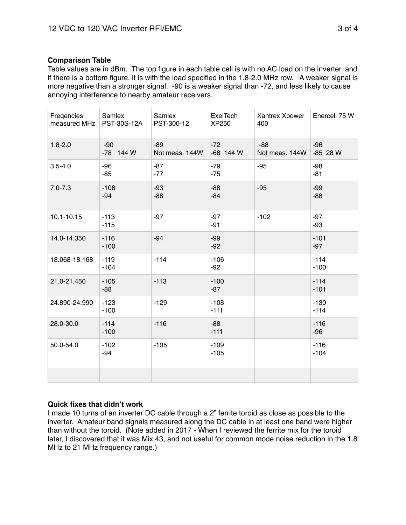# **Comparison Table**

Table values are in dBm. The top figure in each table cell is with no AC load on the inverter, and if there is a bottom figure, it is with the load specified in the 1.8-2.0 MHz row. A weaker signal is more negative than a stronger signal. -90 is a weaker signal than -72, and less likely to cause annoying interference to nearby amateur receivers.

| Freqencies<br>measured MHz | Samlex<br>PST-30S-12A | Samlex<br>PST-300-12    | ExelTech<br>XP250  | Xantrex Xpower<br>400   | Enercell 75 W     |
|----------------------------|-----------------------|-------------------------|--------------------|-------------------------|-------------------|
| $1.8 - 2.0$                | $-90$<br>-78 144 W    | $-89$<br>Not meas. 144W | $-72$<br>-68 144 W | $-88$<br>Not meas. 144W | $-96$<br>-85 28 W |
| $3.5 - 4.0$                | $-96$<br>$-85$        | $-87$<br>$-77$          | $-79$<br>$-75$     | $-95$                   | $-98$<br>$-81$    |
| $7.0 - 7.3$                | $-108$<br>$-94$       | $-93$<br>$-88$          | $-88$<br>$-84$     | $-95$                   | $-99$<br>$-88$    |
| $10.1 - 10.15$             | $-113$<br>$-115$      | $-97$                   | $-97$<br>$-91$     | $-102$                  | $-97$<br>$-93$    |
| 14.0-14.350                | $-116$<br>$-100$      | $-94$                   | $-99$<br>$-92$     |                         | $-101$<br>$-97$   |
| 18.068-18.168              | $-119$<br>$-104$      | $-114$                  | $-106$<br>$-92$    |                         | $-114$<br>$-100$  |
| 21.0-21.450                | $-105$<br>$-88$       | $-113$                  | $-100$<br>$-87$    |                         | $-114$<br>$-101$  |
| 24.890-24.990              | $-123$<br>$-100$      | $-129$                  | $-108$<br>$-111$   |                         | $-130$<br>$-114$  |
| 28.0-30.0                  | $-114$<br>$-100$      | $-116$                  | $-88$<br>$-111$    |                         | $-116$<br>$-96$   |
| 50.0-54.0                  | $-102$<br>$-94$       | $-105$                  | $-109$<br>$-105$   |                         | $-116$<br>$-104$  |
|                            |                       |                         |                    |                         |                   |

# **Quick fixes that didn't work**

I made 10 turns of an inverter DC cable through a 2" ferrite toroid as close as possible to the inverter. Amateur band signals measured along the DC cable in at least one band were higher than without the toroid. (Note added in 2017 - When I reviewed the ferrite mix for the toroid later, I discovered that it was Mix 43, and not useful for common mode noise reduction in the 1.8 MHz to 21 MHz frequency range.)